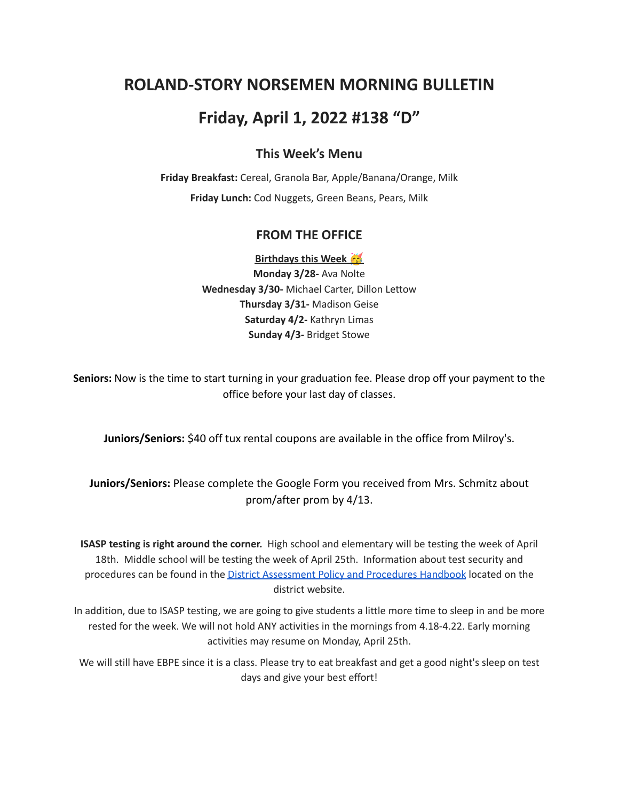# **ROLAND-STORY NORSEMEN MORNING BULLETIN**

# **Friday, April 1, 2022 #138 "D"**

### **This Week's Menu**

**Friday Breakfast:** Cereal, Granola Bar, Apple/Banana/Orange, Milk **Friday Lunch:** Cod Nuggets, Green Beans, Pears, Milk

#### **FROM THE OFFICE**

**Birthdays this Week Monday 3/28-** Ava Nolte **Wednesday 3/30-** Michael Carter, Dillon Lettow **Thursday 3/31-** Madison Geise **Saturday 4/2-** Kathryn Limas **Sunday 4/3-** Bridget Stowe

**Seniors:** Now is the time to start turning in your graduation fee. Please drop off your payment to the office before your last day of classes.

**Juniors/Seniors:** \$40 off tux rental coupons are available in the office from Milroy's.

### **Juniors/Seniors:** Please complete the Google Form you received from Mrs. Schmitz about prom/after prom by 4/13.

**ISASP testing is right around the corner.** High school and elementary will be testing the week of April 18th. Middle school will be testing the week of April 25th. Information about test security and procedures can be found in the District [Assessment](https://rolandstory.school/media/Michelle%20Soderstrum/RSCSD_District_Assessment_Poli%20-%20Copy%203.pdf) Policy and Procedures Handbook located on the district website.

In addition, due to ISASP testing, we are going to give students a little more time to sleep in and be more rested for the week. We will not hold ANY activities in the mornings from 4.18-4.22. Early morning activities may resume on Monday, April 25th.

We will still have EBPE since it is a class. Please try to eat breakfast and get a good night's sleep on test days and give your best effort!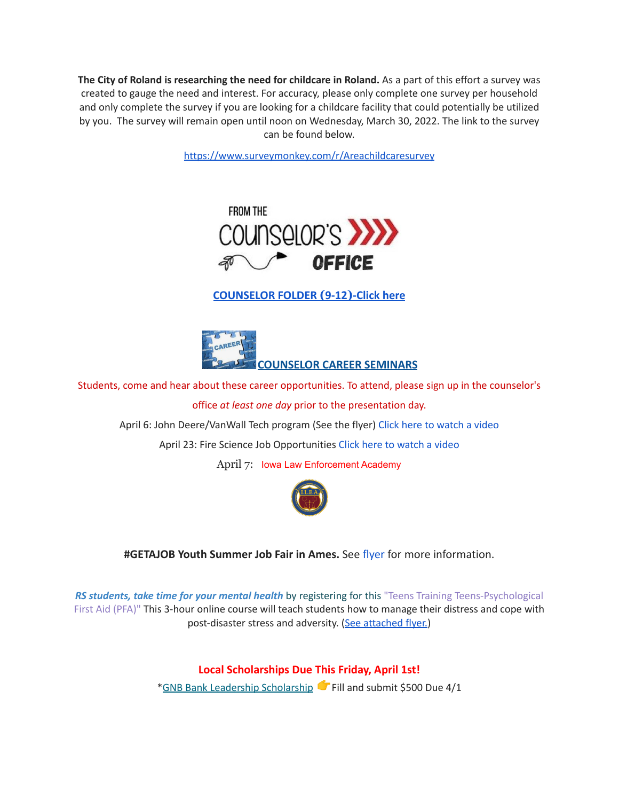**The City of Roland is researching the need for childcare in Roland.** As a part of this effort a survey was created to gauge the need and interest. For accuracy, please only complete one survey per household and only complete the survey if you are looking for a childcare facility that could potentially be utilized by you. The survey will remain open until noon on Wednesday, March 30, 2022. The link to the survey can be found below.

<https://www.surveymonkey.com/r/Areachildcaresurvey>



#### **[COUNSELOR FOLDER](https://docs.google.com/document/d/1vmwczNPbDzXe9vFaG5LJMQ7NYDv-i4oQJHybqA65TUc/edit?usp=sharing) (9-12)-Click here**



Students, come and hear about these career opportunities. To attend, please sign up in the counselor's office *at least one day* prior to the presentation day.

April 6: John Deere/VanWall Tech program (See the flyer) Click here to [watch](https://www.youtube.com/watch?v=h0zPXGK_n_c) a video

April 23: Fire Science Job Opportunities Click here to [watch](https://www.youtube.com/watch?v=xBXR6h_2eWg) a video

April 7: Iowa Law Enforcement Academy



**#GETAJOB Youth Summer Job Fair in Ames.** See [flyer](https://drive.google.com/file/d/19PRxPHgJE0Wyssa45Q2YrSued6K3SDaH/view?usp=sharing) for more information.

*RS students, take time for your mental health* by registering for this "Teens Training Teens-Psychological First Aid (PFA)" This 3-hour online course will teach students how to manage their distress and cope with post-disaster stress and adversity. (See [attached](https://drive.google.com/file/d/18ZxsDgb9mTVccDP5AD1ejwqoEi1MNUwE/view?usp=sharing) flyer.)

#### **Local Scholarships Due This Friday, April 1st!**

\*GNB Bank Leadership [Scholarship](https://www.gnbbank.com/resources/story-city-leadership-scholarship) Fill and submit \$500 Due 4/1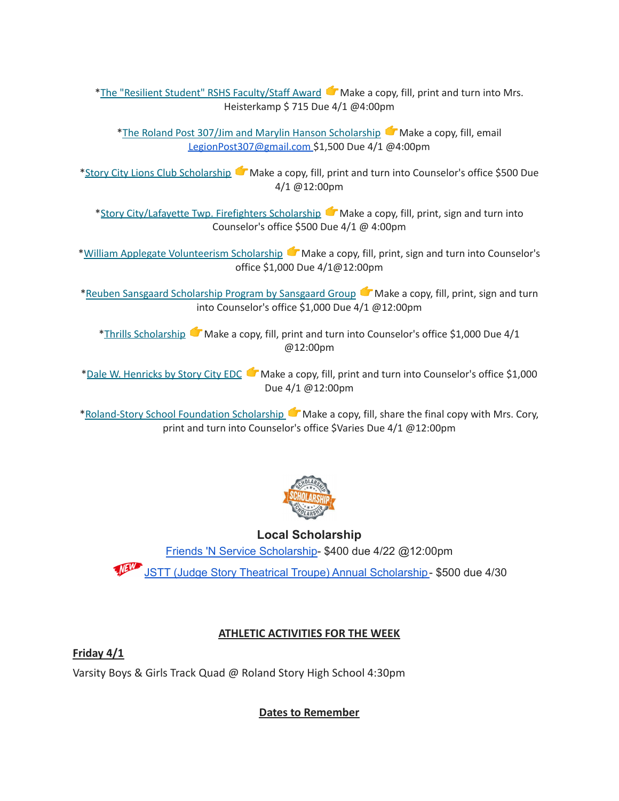\*The "Resilient Student" RSHS [Faculty/Staff](https://docs.google.com/document/d/1DolWUUWkhc9uRV9cDZrlwnYTIr44UcPiFxY4Xkupsj0/edit?usp=sharing) Award  $\bullet$  Make a copy, fill, print and turn into Mrs. Heisterkamp \$ 715 Due 4/1 @4:00pm

\*The Roland Post 307/Jim and Marylin Hanson [Scholarship](https://docs.google.com/document/d/1hGUuBTFqrA-IeXjmN94zoUkQR-ErMDrUDyJX0Yc3fx0/edit?usp=sharing) Make a copy, fill, email LegionPost307@gmail.com \$1,500 Due 4/1 @4:00pm

\*Story City Lions Club [Scholarship](https://docs.google.com/document/d/1z7ucMbK4WEvvNb9NVBe3FD28h53iTSawX8qWUl0m6oA/edit?usp=sharing) Make a copy, fill, print and turn into Counselor's office \$500 Due 4/1 @12:00pm

\*Story [City/Lafayette](https://docs.google.com/document/d/1DRZOK0yQEV5eI7SDx7LBRARU3wUClkRxSl4DFl1TSOU/edit?usp=sharing) Twp. Firefighters Scholarship Make a copy, fill, print, sign and turn into Counselor's office \$500 Due 4/1 @ 4:00pm

\*William Applegate [Volunteerism](https://docs.google.com/document/d/1w4rNFOTwAFqpjEvS-51FwYbhvd6fQvigs1578zBW-tw/edit?usp=sharing) Scholarship Make a copy, fill, print, sign and turn into Counselor's office \$1,000 Due 4/1@12:00pm

\*Reuben Sansgaard [Scholarship](https://docs.google.com/document/d/1LR2RwFYr7AG3FUyGWVx12ymv-TE93qQbHet9jzHKVyU/edit?usp=sharing) Program by Sansgaard Group Make a copy, fill, print, sign and turn into Counselor's office \$1,000 Due 4/1 @12:00pm

\*Thrills [Scholarship](https://docs.google.com/document/d/1QJta3C5yzfZrCdazRN4EIHX3l1EGl8av38jpxH3JqyU/edit?usp=sharing) Make a copy, fill, print and turn into Counselor's office \$1,000 Due 4/1 @12:00pm

\*Dale W. [Henricks](https://docs.google.com/document/d/1QlRIHdvRzmxNbdfucF4hyEJ2MzvAer_LqN1C1bAIIOk/edit?usp=sharing) by Story City EDC Make a copy, fill, print and turn into Counselor's office \$1,000 Due 4/1 @12:00pm

[\\*Roland-Story](https://docs.google.com/document/d/1L-tgrmtRhI17mbAynBf7wRqcn4feF0ftZ4YQ7eolHUI/edit) School Foundation Scholarship Make a copy, fill, share the final copy with Mrs. Cory, print and turn into Counselor's office \$Varies Due 4/1 @12:00pm



## **Local Scholarship**

Friends 'N Service [Scholarship-](https://docs.google.com/document/d/1YxuVTwJ-CIinoMlmP1qQKGAZsTg1ZqAjS9JUfoK-CpY/edit?usp=sharing) \$400 due 4/22 @12:00pm

JSTT (Judge Story Theatrical Troupe) Annual [Scholarship-](https://judgestorytroupe.wordpress.com/about/scholarship/) \$500 due 4/30

## **ATHLETIC ACTIVITIES FOR THE WEEK**

**Friday 4/1**

Varsity Boys & Girls Track Quad @ Roland Story High School 4:30pm

**Dates to Remember**